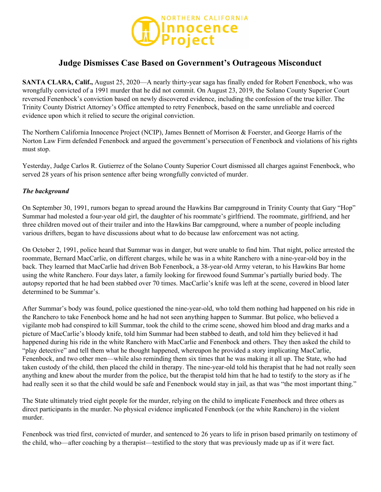

# **Judge Dismisses Case Based on Government's Outrageous Misconduct**

**SANTA CLARA, Calif.,** August 25, 2020—A nearly thirty-year saga has finally ended for Robert Fenenbock, who was wrongfully convicted of a 1991 murder that he did not commit. On August 23, 2019, the Solano County Superior Court reversed Fenenbock's conviction based on newly discovered evidence, including the confession of the true killer. The Trinity County District Attorney's Office attempted to retry Fenenbock, based on the same unreliable and coerced evidence upon which it relied to secure the original conviction.

The Northern California Innocence Project (NCIP), James Bennett of Morrison & Foerster, and George Harris of the Norton Law Firm defended Fenenbock and argued the government's persecution of Fenenbock and violations of his rights must stop.

Yesterday, Judge Carlos R. Gutierrez of the Solano County Superior Court dismissed all charges against Fenenbock, who served 28 years of his prison sentence after being wrongfully convicted of murder.

## *The background*

On September 30, 1991, rumors began to spread around the Hawkins Bar campground in Trinity County that Gary "Hop" Summar had molested a four-year old girl, the daughter of his roommate's girlfriend. The roommate, girlfriend, and her three children moved out of their trailer and into the Hawkins Bar campground, where a number of people including various drifters, began to have discussions about what to do because law enforcement was not acting.

On October 2, 1991, police heard that Summar was in danger, but were unable to find him. That night, police arrested the roommate, Bernard MacCarlie, on different charges, while he was in a white Ranchero with a nine-year-old boy in the back. They learned that MacCarlie had driven Bob Fenenbock, a 38-year-old Army veteran, to his Hawkins Bar home using the white Ranchero. Four days later, a family looking for firewood found Summar's partially buried body. The autopsy reported that he had been stabbed over 70 times. MacCarlie's knife was left at the scene, covered in blood later determined to be Summar's.

After Summar's body was found, police questioned the nine-year-old, who told them nothing had happened on his ride in the Ranchero to take Fenenbock home and he had not seen anything happen to Summar. But police, who believed a vigilante mob had conspired to kill Summar, took the child to the crime scene, showed him blood and drag marks and a picture of MacCarlie's bloody knife, told him Summar had been stabbed to death, and told him they believed it had happened during his ride in the white Ranchero with MacCarlie and Fenenbock and others. They then asked the child to "play detective" and tell them what he thought happened, whereupon he provided a story implicating MacCarlie, Fenenbock, and two other men—while also reminding them six times that he was making it all up. The State, who had taken custody of the child, then placed the child in therapy. The nine-year-old told his therapist that he had not really seen anything and knew about the murder from the police, but the therapist told him that he had to testify to the story as if he had really seen it so that the child would be safe and Fenenbock would stay in jail, as that was "the most important thing."

The State ultimately tried eight people for the murder, relying on the child to implicate Fenenbock and three others as direct participants in the murder. No physical evidence implicated Fenenbock (or the white Ranchero) in the violent murder.

Fenenbock was tried first, convicted of murder, and sentenced to 26 years to life in prison based primarily on testimony of the child, who—after coaching by a therapist—testified to the story that was previously made up as if it were fact.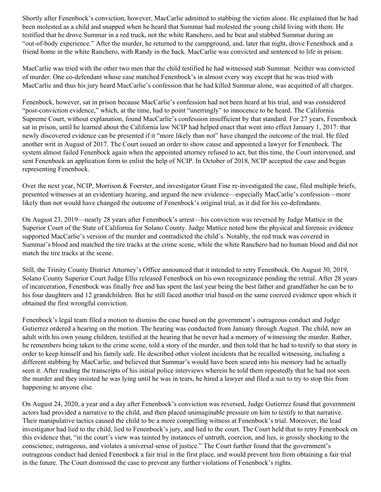Shortly after Fenenbock's conviction, however, MacCarlie admitted to stabbing the victim alone. He explained that he had been molested as a child and snapped when he heard that Summar had molested the young child living with them. He testified that he drove Summar in a red truck, not the white Ranchero, and he beat and stabbed Summar during an "out-of-body experience." After the murder, he returned to the campground, and, later that night, drove Fenenbock and a friend home in the white Ranchero, with Randy in the back. MacCarlie was convicted and sentenced to life in prison.

MacCarlie was tried with the other two men that the child testified he had witnessed stab Summar. Neither was convicted of murder. One co-defendant whose case matched Fenenbock's in almost every way except that he was tried with MacCarlie and thus his jury heard MacCarlie's confession that he had killed Summar alone, was acquitted of all charges.

Fenenbock, however, sat in prison because MacCarlie's confession had not been heard at his trial, and was considered "post-conviction evidence," which, at the time, had to point "unerringly" to innocence to be heard. The California Supreme Court, without explanation, found MacCarlie's confession insufficient by that standard. For 27 years, Fenenbock sat in prison, until he learned about the California law NCIP had helped enact that went into effect January 1, 2017: that newly discovered evidence can be presented if it "more likely than not" have changed the outcome of the trial. He filed another writ in August of 2017. The Court issued an order to show cause and appointed a lawyer for Fenenbock. The system almost failed Fenenbock again when the appointed attorney refused to act, but this time, the Court intervened, and sent Fenenbock an application form to enlist the help of NCIP. In October of 2018, NCIP accepted the case and began representing Fenenbock.

Over the next year, NCIP, Morrison & Foerster, and investigator Grant Fine re-investigated the case, filed multiple briefs, presented witnesses at an evidentiary hearing, and argued the new evidence—especially MacCarlie's confession—more likely than not would have changed the outcome of Fenenbock's original trial, as it did for his co-defendants.

On August 23, 2019—nearly 28 years after Fenenbock's arrest—his conviction was reversed by Judge Mattice in the Superior Court of the State of California for Solano County. Judge Mattice noted how the physical and forensic evidence supported MacCarlie's version of the murder and contradicted the child's. Notably, the red truck was covered in Summar's blood and matched the tire tracks at the crime scene, while the white Ranchero had no human blood and did not match the tire tracks at the scene.

Still, the Trinity County District Attorney's Office announced that it intended to retry Fenenbock. On August 30, 2019, Solano County Superior Court Judge Ellis released Fenenbock on his own recognizance pending the retrial. After 28 years of incarceration, Fenenbock was finally free and has spent the last year being the best father and grandfather he can be to his four daughters and 12 grandchildren. But he still faced another trial based on the same coerced evidence upon which it obtained the first wrongful conviction.

Fenenbock's legal team filed a motion to dismiss the case based on the government's outrageous conduct and Judge Gutierrez ordered a hearing on the motion. The hearing was conducted from January through August. The child, now an adult with his own young children, testified at the hearing that he never had a memory of witnessing the murder. Rather, he remembers being taken to the crime scene, told a story of the murder, and then told that he had to testify to that story in order to keep himself and his family safe. He described other violent incidents that he recalled witnessing, including a different stabbing by MacCarlie, and believed that Summar's would have been seared into his memory had he actually seen it. After reading the transcripts of his initial police interviews wherein he told them repeatedly that he had not seen the murder and they insisted he was lying until he was in tears, he hired a lawyer and filed a suit to try to stop this from happening to anyone else.

On August 24, 2020, a year and a day after Fenenbock's conviction was reversed, Judge Gutierrez found that government actors had provided a narrative to the child, and then placed unimaginable pressure on him to testify to that narrative. Their manipulative tactics caused the child to be a more compelling witness at Fenenbock's trial. Moreover, the lead investigator had lied to the child, lied to Fenenbock's jury, and lied to the court. The Court held that to retry Fenenbock on this evidence that, "in the court's view was tainted by instances of untruth, coercion, and lies, is grossly shocking to the conscience, outrageous, and violates a universal sense of justice." The Court further found that the government's outrageous conduct had denied Fenenbock a fair trial in the first place, and would prevent him from obtaining a fair trial in the future. The Court dismissed the case to prevent any further violations of Fenenbock's rights.